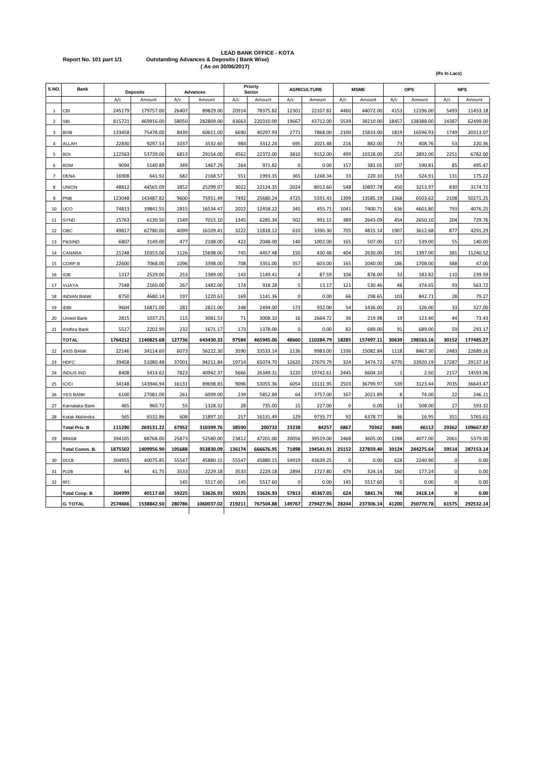# **LEAD BANK OFFICE - KOTA Report No. 101 part 1/1 Outstanding Advances & Deposits ( Bank Wise) ( As on 30/06/2017)**

| S.NO.                    | <b>Bank</b>          | <b>Deposits</b> |            | <b>Advances</b> |            |        | Priorty<br>Sector |             | <b>AGRICULTURE</b> |             | <b>MSME</b> |             | OPS       |             | <b>NPS</b> |
|--------------------------|----------------------|-----------------|------------|-----------------|------------|--------|-------------------|-------------|--------------------|-------------|-------------|-------------|-----------|-------------|------------|
|                          |                      | A/c             | Amount     | A/c             | Amount     | A/c    | Amount            | A/c         | Amount             | A/c         | Amount      | A/c         | Amount    | A/c         | Amount     |
| $\overline{1}$           | <b>CBI</b>           | 245179          | 179757.00  | 26407           | 89829.00   | 20914  | 78375.82          | 12301       | 22107.82           | 4460        | 44072.00    | 4153        | 12196.00  | 5493        | 11453.18   |
| $\overline{\phantom{a}}$ | <b>SBI</b>           | 815721          | 469916.00  | 58050           | 282809.00  | 43663  | 220310.00         | 19667       | 43712.00           | 5539        | 38210.00    | 18457       | 138388.00 | 14387       | 62499.00   |
| 3                        | <b>BOB</b>           | 133458          | 75478.00   | 8439            | 60611.00   | 6690   | 40297.93          | 2771        | 7868.00            | 2100        | 15833.00    | 1819        | 16596.93  | 1749        | 20313.07   |
| 4                        | ALLAH                | 22830           | 9297.53    | 1037            | 3532.60    | 984    | 3312.24           | 695         | 2021.48            | 216         | 882.00      | 73          | 408.76    | 53          | 220.36     |
| 5                        | <b>BOI</b>           | 122563          | 53739.00   | 6813            | 29154.00   | 4562   | 22372.00          | 3810        | 9152.00            | 499         | 10328.00    | 253         | 2892.00   | 2251        | 6782.00    |
| 6                        | <b>BOM</b>           | 9094            | 5140.89    | 349             | 1467.29    | 264    | 971.82            | $\mathbf 0$ | 0.00               | 157         | 381.01      | 107         | 590.81    | 85          | 495.47     |
| $\overline{7}$           | <b>DENA</b>          | 16908           | 641.92     | 682             | 2168.57    | 551    | 1993.35           | 365         | 1248.34            | 33          | 220.10      | 153         | 524.91    | 131         | 175.22     |
| 8                        | <b>UNION</b>         | 48812           | 44565.09   | 3852            | 25299.07   | 3022   | 22124.35          | 2024        | 8012.60            | 548         | 10897.78    | 450         | 3213.97   | 830         | 3174.72    |
| $\overline{9}$           | PNB                  | 123048          | 143487.82  | 9600            | 75951.49   | 7492   | 25680.24          | 4725        | 5591.43            | 1399        | 13585.19    | 1368        | 6503.62   | 2108        | 50271.25   |
| 10                       | UCO                  | 74813           | 39841.55   | 2815            | 16534.47   | 2022   | 12458.22          | 345         | 455.71             | 1041        | 7400.71     | 636         | 4601.80   | 793         | 4076.25    |
| 11                       | <b>SYND</b>          | 15763           | 6130.50    | 1549            | 7015.10    | 1345   | 6285.34           | 502         | 992.15             | 389         | 2643.09     | 454         | 2650.10   | 204         | 729.76     |
| 12                       | ОВС                  | 49817           | 62780.00   | 4099            | 16109.41   | 3222   | 11818.12          | 610         | 3390.30            | 705         | 4815.14     | 1907        | 3612.68   | 877         | 4291.29    |
| 13                       | P&SIND               | 6807            | 3149.00    | 477             | 2188.00    | 422    | 2048.00           | 140         | 1002.00            | 165         | 507.00      | 117         | 539.00    | 55          | 140.00     |
| 14                       | CANARA               | 21248           | 10353.00   | 1126            | 15698.00   | 745    | 4457.48           | 150         | 430.48             | 404         | 2630.00     | 191         | 1397.00   | 381         | 11240.52   |
| 15                       | CORP.B               | 22600           | 7068.00    | 1096            | 3398.00    | 708    | 3351.00           | 357         | 603.00             | 165         | 1040.00     | 186         | 1708.00   | 388         | 47.00      |
| 16                       | ЮB                   | 1317            | 2529.00    | 253             | 1389.00    | 143    | 1149.41           | 4           | 87.59              | 106         | 878.00      | 33          | 183.82    | 110         | 239.59     |
| 17                       | VIJAYA               | 7548            | 2160.00    | 267             | 1482.00    | 174    | 918.28            | 5           | 13.17              | 121         | 530.46      | 48          | 374.65    | 93          | 563.72     |
| 18                       | <b>INDIAN BANK</b>   | 8750            | 4680.14    | 197             | 1220.63    | 169    | 1141.36           | 0           | 0.00               | 66          | 298.65      | 103         | 842.71    | 28          | 79.27      |
| 19                       | <b>IDBI</b>          | 9604            | 16871.00   | 281             | 2821.00    | 248    | 2494.00           | 173         | 932.00             | 54          | 1436.00     | 21          | 126.00    | 33          | 327.00     |
| 20                       | <b>United Bank</b>   | 2815            | 1037.25    | 115             | 3081.53    | 71     | 3008.10           | 16          | 2664.72            | 36          | 219.98      | 19          | 123.40    | 44          | 73.43      |
| 21                       | Andhra Bank          | 5517            | 2202.99    | 232             | 1671.17    | 173    | 1378.00           | 0           | 0.00               | 82          | 689.00      | 91          | 689.00    | 59          | 293.17     |
|                          | <b>TOTAL</b>         | 1764212         | 1140825.68 | 127736          | 643430.33  | 97584  | 465945.06         | 48660       | 110284.79          | 18285       | 157497.11   | 30639       | 198163.16 | 30152       | 177485.27  |
| 22                       | <b>XIS BANK</b>      | 22146           | 34114.60   | 6073            | 56222.30   | 3590   | 33533.14          | 1136        | 9983.00            | 1336        | 15082.84    | 1118        | 8467.30   | 2483        | 22689.16   |
| 23                       | <b>HDFC</b>          | 39458           | 51080.48   | 37001           | 94211.84   | 19714  | 65074.70          | 12620       | 27679.79           | 324         | 3474.72     | 6770        | 33920.19  | 17287       | 29137.14   |
| 24                       | <b>INDUS IND</b>     | 8408            | 5414.62    | 7823            | 40942.37   | 5666   | 26349.31          | 3220        | 19742.61           | 2445        | 6604.10     |             | 2.60      | 2157        | 14593.06   |
| 25                       | <b>ICICI</b>         | 34148           | 143946.94  | 16131           | 89698.83   | 9096   | 53055.36          | 6054        | 13131.95           | 2503        | 36799.97    | 539         | 3123.44   | 7035        | 36643.47   |
| 26                       | YES BANK             | 6100            | 27081.00   | 261             | 6099.00    | 239    | 5852.89           | 64          | 3757.00            | 167         | 2021.89     | 8           | 74.00     | 22          | 246.11     |
| 27                       | Karnataka Bank       | 465             | 960.72     | 55              | 1328.32    | 28     | 735.00            | 15          | 227.00             | 0           | 0.00        | 13          | 508.00    | 27          | 593.32     |
| 28                       | Kotak Mahindra       | 565             | 6532.86    | 608             | 21897.10   | 257    | 16131.49          | 129         | 9735.77            | 92          | 6378.77     | 36          | 16.95     | 351         | 5765.61    |
|                          | <b>Total Priv. B</b> | 111290          | 269131.22  | 67952           | 310399.76  | 38590  | 200732            | 23238       | 84257              | 6867        | 70362       | 8485        | 46112     | 29362       | 109667.87  |
| 29                       | <b>BRKGB</b>         | 394165          | 88768.00   | 25873           | 52580.00   | 23812  | 47201.00          | 20056       | 39519.00           | 2468        | 3605.00     | 1288        | 4077.00   | 2061        | 5379.00    |
|                          | Total Comm. B.       | 1875502         | 1409956.90 | 195688          | 953830.09  | 136174 | 666676.95         | 71898       | 194541.91          | 25152       | 227859.40   | 39124       | 244275.64 | 59514       | 287153.14  |
| 30                       | DCCB                 | 304955          | 40075.85   | 55547           | 45880.15   | 55547  | 45880.15          | 54919       | 43639.25           | $\mathbf 0$ | 0.00        | 628         | 2240.90   | 0           | 0.00       |
| 31                       | PLDB                 | 44              | 41.75      | 3533            | 2229.18    | 3533   | 2229.18           | 2894        | 1727.80            | 479         | 324.14      | 160         | 177.24    | $\mathsf 0$ | 0.00       |
| 32                       | <b>RFC</b>           |                 |            | 145             | 5517.60    | 145    | 5517.60           | $\mathbf 0$ | 0.00               | 145         | 5517.60     | $\mathbf 0$ | 0.00      | 0           | 0.00       |
|                          | <b>Total Coop. B</b> | 304999          | 40117.60   | 59225           | 53626.93   | 59225  | 53626.93          | 57813       | 45367.05           | 624         | 5841.74     | 788         | 2418.14   | $\mathbf 0$ | 0.00       |
|                          | <b>G. TOTAL</b>      | 2574666         | 1538842.50 | 280786          | 1060037.02 | 219211 | 767504.88         | 149767      | 279427.96          | 28244       | 237306.14   | 41200       | 250770.78 | 61575       | 292532.14  |
|                          |                      |                 |            |                 |            |        |                   |             |                    |             |             |             |           |             |            |

**(Rs In Lacs)**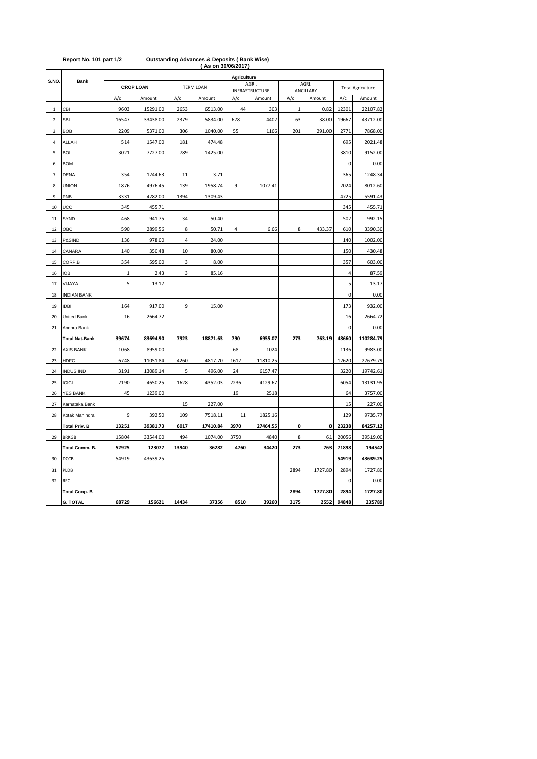|                |                       | AS ON 30/00/2017<br>Agriculture |          |                  |          |      |                         |              |                    |                          |           |
|----------------|-----------------------|---------------------------------|----------|------------------|----------|------|-------------------------|--------------|--------------------|--------------------------|-----------|
| S.NO.          | <b>Bank</b>           | <b>CROP LOAN</b>                |          | <b>TERM LOAN</b> |          |      | AGRI.<br>INFRASTRUCTURE |              | AGRI.<br>ANCILLARY | <b>Total Agriculture</b> |           |
|                |                       | A/c                             | Amount   | A/c              | Amount   | A/c  | Amount                  | A/c          | Amount             | A/c                      | Amount    |
| 1              | CBI                   | 9603                            | 15291.00 | 2653             | 6513.00  | 44   | 303                     | $\mathbf{1}$ | 0.82               | 12301                    | 22107.82  |
| $\overline{2}$ | <b>SBI</b>            | 16547                           | 33438.00 | 2379             | 5834.00  | 678  | 4402                    | 63           | 38.00              | 19667                    | 43712.00  |
| 3              | <b>BOB</b>            | 2209                            | 5371.00  | 306              | 1040.00  | 55   | 1166                    | 201          | 291.00             | 2771                     | 7868.00   |
| 4              | ALLAH                 | 514                             | 1547.00  | 181              | 474.48   |      |                         |              |                    | 695                      | 2021.48   |
| 5              | <b>BOI</b>            | 3021                            | 7727.00  | 789              | 1425.00  |      |                         |              |                    | 3810                     | 9152.00   |
| 6              | <b>BOM</b>            |                                 |          |                  |          |      |                         |              |                    | 0                        | 0.00      |
| $\overline{7}$ | <b>DENA</b>           | 354                             | 1244.63  | 11               | 3.71     |      |                         |              |                    | 365                      | 1248.34   |
| 8              | UNION                 | 1876                            | 4976.45  | 139              | 1958.74  | 9    | 1077.41                 |              |                    | 2024                     | 8012.60   |
| 9              | PNB                   | 3331                            | 4282.00  | 1394             | 1309.43  |      |                         |              |                    | 4725                     | 5591.43   |
| 10             | UCO                   | 345                             | 455.71   |                  |          |      |                         |              |                    | 345                      | 455.71    |
| 11             | SYND                  | 468                             | 941.75   | 34               | 50.40    |      |                         |              |                    | 502                      | 992.15    |
| 12             | OBC                   | 590                             | 2899.56  | 8                | 50.71    | 4    | 6.66                    | 8            | 433.37             | 610                      | 3390.30   |
| 13             | P&SIND                | 136                             | 978.00   | 4                | 24.00    |      |                         |              |                    | 140                      | 1002.00   |
| 14             | CANARA                | 140                             | 350.48   | 10               | 80.00    |      |                         |              |                    | 150                      | 430.48    |
| 15             | CORP.B                | 354                             | 595.00   | 3                | 8.00     |      |                         |              |                    | 357                      | 603.00    |
| 16             | <b>IOB</b>            | $\mathbf{1}$                    | 2.43     | 3                | 85.16    |      |                         |              |                    | $\overline{4}$           | 87.59     |
| 17             | VIJAYA                | 5                               | 13.17    |                  |          |      |                         |              |                    | 5                        | 13.17     |
| 18             | <b>INDIAN BANK</b>    |                                 |          |                  |          |      |                         |              |                    | 0                        | 0.00      |
| 19             | <b>IDBI</b>           | 164                             | 917.00   | 9                | 15.00    |      |                         |              |                    | 173                      | 932.00    |
| 20             | United Bank           | 16                              | 2664.72  |                  |          |      |                         |              |                    | 16                       | 2664.72   |
| 21             | Andhra Bank           |                                 |          |                  |          |      |                         |              |                    | 0                        | 0.00      |
|                | <b>Total Nat.Bank</b> | 39674                           | 83694.90 | 7923             | 18871.63 | 790  | 6955.07                 | 273          | 763.19             | 48660                    | 110284.79 |
| 22             | AXIS BANK             | 1068                            | 8959.00  |                  |          | 68   | 1024                    |              |                    | 1136                     | 9983.00   |
| 23             | <b>HDFC</b>           | 6748                            | 11051.84 | 4260             | 4817.70  | 1612 | 11810.25                |              |                    | 12620                    | 27679.79  |
| 24             | <b>INDUS IND</b>      | 3191                            | 13089.14 | 5                | 496.00   | 24   | 6157.47                 |              |                    | 3220                     | 19742.61  |
| 25             | <b>ICICI</b>          | 2190                            | 4650.25  | 1628             | 4352.03  | 2236 | 4129.67                 |              |                    | 6054                     | 13131.95  |
| 26             | YES BANK              | 45                              | 1239.00  |                  |          | 19   | 2518                    |              |                    | 64                       | 3757.00   |
| 27             | Karnataka Bank        |                                 |          | 15               | 227.00   |      |                         |              |                    | 15                       | 227.00    |
| 28             | Kotak Mahindra        | 9                               | 392.50   | 109              | 7518.11  | 11   | 1825.16                 |              |                    | 129                      | 9735.77   |
|                | <b>Total Priv. B</b>  | 13251                           | 39381.73 | 6017             | 17410.84 | 3970 | 27464.55                | 0            | 0                  | 23238                    | 84257.12  |
| 29             | <b>BRKGB</b>          | 15804                           | 33544.00 | 494              | 1074.00  | 3750 | 4840                    | 8            | 61                 | 20056                    | 39519.00  |
|                | Total Comm. B.        | 52925                           | 123077   | 13940            | 36282    | 4760 | 34420                   | 273          | 763                | 71898                    | 194542    |
| 30             | DCCB                  | 54919                           | 43639.25 |                  |          |      |                         |              |                    | 54919                    | 43639.25  |
| 31             | PLDB                  |                                 |          |                  |          |      |                         | 2894         | 1727.80            | 2894                     | 1727.80   |
| 32             | RFC                   |                                 |          |                  |          |      |                         |              |                    | 0                        | 0.00      |
|                | <b>Total Coop. B</b>  |                                 |          |                  |          |      |                         | 2894         | 1727.80            | 2894                     | 1727.80   |
|                | <b>G. TOTAL</b>       | 68729                           | 156621   | 14434            | 37356    | 8510 | 39260                   | 3175         | 2552               | 94848                    | 235789    |

#### **( As on 30/06/2017) Report No. 101 part 1/2 Outstanding Advances & Deposits ( Bank Wise)**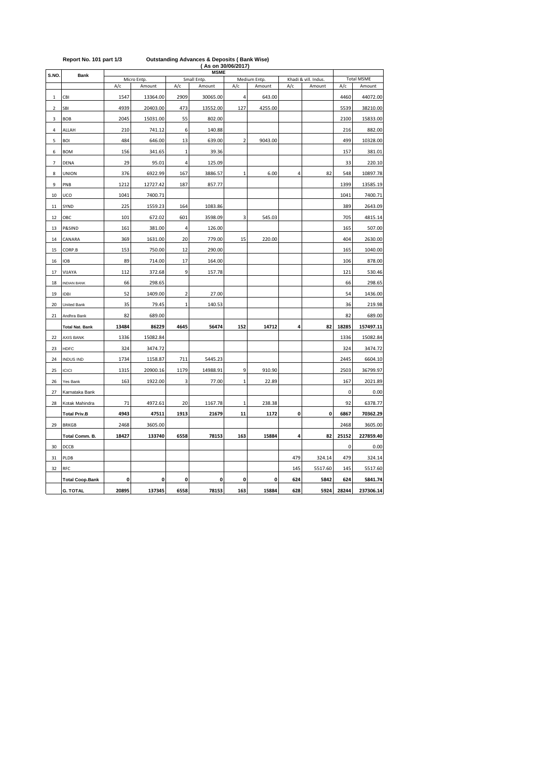|                | Report No. 101 part 1/3<br><b>Outstanding Advances &amp; Deposits (Bank Wise)</b><br>(As on 30/06/2017) |       |                       |                         |                       |                         |                        |                |                                |              |                             |  |  |  |
|----------------|---------------------------------------------------------------------------------------------------------|-------|-----------------------|-------------------------|-----------------------|-------------------------|------------------------|----------------|--------------------------------|--------------|-----------------------------|--|--|--|
| S.NO.          | <b>MSME</b><br><b>Bank</b>                                                                              |       |                       |                         |                       |                         |                        |                |                                |              |                             |  |  |  |
|                |                                                                                                         | A/c   | Micro Entp.<br>Amount | A/c                     | Small Entp.<br>Amount | A/c                     | Medium Entp.<br>Amount | A/c            | Khadi & vill. Indus.<br>Amount | A/c          | <b>Total MSME</b><br>Amount |  |  |  |
|                |                                                                                                         |       |                       |                         |                       |                         |                        |                |                                |              |                             |  |  |  |
| 1              | CBI                                                                                                     | 1547  | 13364.00              | 2909                    | 30065.00              | 4                       | 643.00                 |                |                                | 4460         | 44072.00                    |  |  |  |
| $\overline{2}$ | SBI                                                                                                     | 4939  | 20403.00              | 473                     | 13552.00              | 127                     | 4255.00                |                |                                | 5539         | 38210.00                    |  |  |  |
| 3              | BOB                                                                                                     | 2045  | 15031.00              | 55                      | 802.00                |                         |                        |                |                                | 2100         | 15833.00                    |  |  |  |
| 4              | ALLAH                                                                                                   | 210   | 741.12                | 6                       | 140.88                |                         |                        |                |                                | 216          | 882.00                      |  |  |  |
| 5              | <b>BOI</b>                                                                                              | 484   | 646.00                | 13                      | 639.00                | $\overline{\mathbf{c}}$ | 9043.00                |                |                                | 499          | 10328.00                    |  |  |  |
| 6              | <b>BOM</b>                                                                                              | 156   | 341.65                | $\mathbf{1}$            | 39.36                 |                         |                        |                |                                | 157          | 381.01                      |  |  |  |
| $\overline{7}$ | <b>DENA</b>                                                                                             | 29    | 95.01                 | 4                       | 125.09                |                         |                        |                |                                | 33           | 220.10                      |  |  |  |
| 8              | <b>UNION</b>                                                                                            | 376   | 6922.99               | 167                     | 3886.57               | $\mathbf{1}$            | 6.00                   | $\overline{4}$ | 82                             | 548          | 10897.78                    |  |  |  |
| 9              | PNB                                                                                                     | 1212  | 12727.42              | 187                     | 857.77                |                         |                        |                |                                | 1399         | 13585.19                    |  |  |  |
| 10             | UCO                                                                                                     | 1041  | 7400.71               |                         |                       |                         |                        |                |                                | 1041         | 7400.71                     |  |  |  |
| 11             | SYND                                                                                                    | 225   | 1559.23               | 164                     | 1083.86               |                         |                        |                |                                | 389          | 2643.09                     |  |  |  |
| 12             | OBC                                                                                                     | 101   | 672.02                | 601                     | 3598.09               | 3                       | 545.03                 |                |                                | 705          | 4815.14                     |  |  |  |
| 13             | P&SIND                                                                                                  | 161   | 381.00                | 4                       | 126.00                |                         |                        |                |                                | 165          | 507.00                      |  |  |  |
| 14             | CANARA                                                                                                  | 369   | 1631.00               | 20                      | 779.00                | 15                      | 220.00                 |                |                                | 404          | 2630.00                     |  |  |  |
| 15             | CORP.B                                                                                                  | 153   | 750.00                | 12                      | 290.00                |                         |                        |                |                                | 165          | 1040.00                     |  |  |  |
| 16             | <b>IOB</b>                                                                                              | 89    | 714.00                | 17                      | 164.00                |                         |                        |                |                                | 106          | 878.00                      |  |  |  |
| 17             | VIJAYA                                                                                                  | 112   | 372.68                | 9                       | 157.78                |                         |                        |                |                                | 121          | 530.46                      |  |  |  |
| 18             | <b>INDIAN BANK</b>                                                                                      | 66    | 298.65                |                         |                       |                         |                        |                |                                | 66           | 298.65                      |  |  |  |
| 19             | <b>IDBI</b>                                                                                             | 52    | 1409.00               | $\overline{\mathbf{c}}$ | 27.00                 |                         |                        |                |                                | 54           | 1436.00                     |  |  |  |
| 20             | <b>United Bank</b>                                                                                      | 35    | 79.45                 | $\overline{1}$          | 140.53                |                         |                        |                |                                | 36           | 219.98                      |  |  |  |
| 21             | Andhra Bank                                                                                             | 82    | 689.00                |                         |                       |                         |                        |                |                                | 82           | 689.00                      |  |  |  |
|                |                                                                                                         |       |                       |                         |                       |                         |                        | 4              |                                |              |                             |  |  |  |
|                | <b>Total Nat. Bank</b>                                                                                  | 13484 | 86229                 | 4645                    | 56474                 | 152                     | 14712                  |                | 82                             | 18285        | 157497.11                   |  |  |  |
| 22             | <b>AXIS BANK</b>                                                                                        | 1336  | 15082.84              |                         |                       |                         |                        |                |                                | 1336         | 15082.84                    |  |  |  |
| 23             | <b>HDFC</b>                                                                                             | 324   | 3474.72               |                         |                       |                         |                        |                |                                | 324          | 3474.72                     |  |  |  |
| 24             | <b>INDUS IND</b>                                                                                        | 1734  | 1158.87               | 711                     | 5445.23               |                         |                        |                |                                | 2445         | 6604.10                     |  |  |  |
| 25             | <b>ICICI</b>                                                                                            | 1315  | 20900.16              | 1179                    | 14988.91              | 9                       | 910.90                 |                |                                | 2503         | 36799.97                    |  |  |  |
| 26             | Yes Bank                                                                                                | 163   | 1922.00               | 3                       | 77.00                 | $\mathbf 1$             | 22.89                  |                |                                | 167          | 2021.89                     |  |  |  |
| 27             | Karnataka Bank                                                                                          |       |                       |                         |                       |                         |                        |                |                                | $\mathbf{0}$ | 0.00                        |  |  |  |
| 28             | Kotak Mahindra                                                                                          | 71    | 4972.61               | 20                      | 1167.78               | 1                       | 238.38                 |                |                                | 92           | 6378.77                     |  |  |  |
|                | <b>Total Priv.B</b>                                                                                     | 4943  | 47511                 | 1913                    | 21679                 | 11                      | 1172                   | 0              | 0                              | 6867         | 70362.29                    |  |  |  |
| 29             | <b>BRKGB</b>                                                                                            | 2468  | 3605.00               |                         |                       |                         |                        |                |                                | 2468         | 3605.00                     |  |  |  |
|                | Total Comm. B.                                                                                          | 18427 | 133740                | 6558                    | 78153                 | 163                     | 15884                  | 4              | 82                             | 25152        | 227859.40                   |  |  |  |
| 30             | DCCB                                                                                                    |       |                       |                         |                       |                         |                        |                |                                | 0            | 0.00                        |  |  |  |
| 31             | PLDB                                                                                                    |       |                       |                         |                       |                         |                        | 479            | 324.14                         | 479          | 324.14                      |  |  |  |
| 32             | <b>RFC</b>                                                                                              |       |                       |                         |                       |                         |                        | 145            | 5517.60                        | 145          | 5517.60                     |  |  |  |
|                | <b>Total Coop.Bank</b>                                                                                  | 0     | 0                     | 0                       | 0                     | 0                       | 0                      | 624            | 5842                           | 624          | 5841.74                     |  |  |  |
|                | <b>G. TOTAL</b>                                                                                         | 20895 | 137345                | 6558                    | 78153                 | 163                     | 15884                  | 628            | 5924                           | 28244        | 237306.14                   |  |  |  |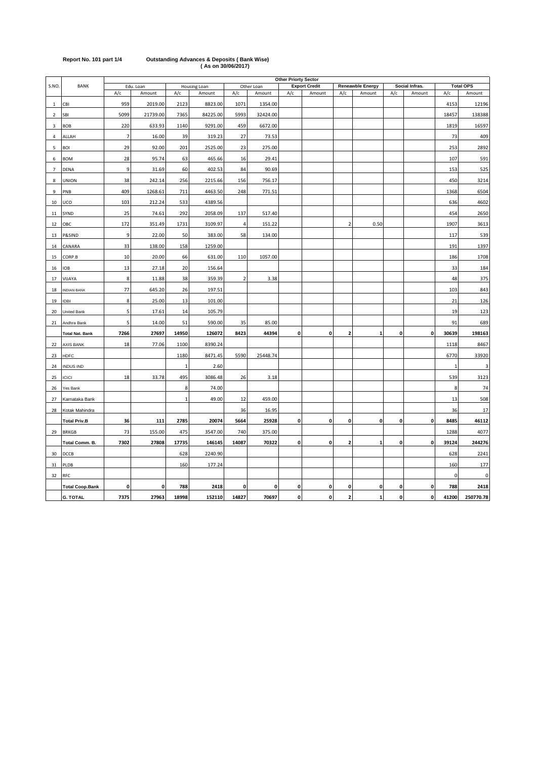|                |                        |                |           |              | $1 - 2 - 1 - 2 - 1 - 1$ |                |            |                             |                      |                |                         |             |                |              |                  |
|----------------|------------------------|----------------|-----------|--------------|-------------------------|----------------|------------|-----------------------------|----------------------|----------------|-------------------------|-------------|----------------|--------------|------------------|
|                |                        |                |           |              |                         |                |            | <b>Other Priorty Sector</b> |                      |                |                         |             |                |              |                  |
| S.NO.          | <b>BANK</b>            |                | Edu. Loan |              | Housing Loan            |                | Other Loan |                             | <b>Export Credit</b> |                | <b>Reneawble Energy</b> |             | Social Infras. |              | <b>Total OPS</b> |
|                |                        | A/c            | Amount    | A/c          | Amount                  | A/c            | Amount     | A/c                         | Amount               | A/c            | Amount                  | A/c         | Amount         | A/c          | Amount           |
| 1              | CBI                    | 959            | 2019.00   | 2123         | 8823.00                 | 1071           | 1354.00    |                             |                      |                |                         |             |                | 4153         | 12196            |
| $\overline{2}$ | SBI                    | 5099           | 21739.00  | 7365         | 84225.00                | 5993           | 32424.00   |                             |                      |                |                         |             |                | 18457        | 138388           |
| 3              | <b>BOB</b>             | 220            | 633.93    | 1140         | 9291.00                 | 459            | 6672.00    |                             |                      |                |                         |             |                | 1819         | 16597            |
| 4              | ALLAH                  | $\overline{7}$ | 16.00     | 39           | 319.23                  | 27             | 73.53      |                             |                      |                |                         |             |                | 73           | 409              |
| 5              | <b>BOI</b>             | 29             | 92.00     | 201          | 2525.00                 | 23             | 275.00     |                             |                      |                |                         |             |                | 253          | 2892             |
| 6              | <b>BOM</b>             | 28             | 95.74     | 63           | 465.66                  | 16             | 29.41      |                             |                      |                |                         |             |                | 107          | 591              |
| $\overline{7}$ | <b>DENA</b>            | 9              | 31.69     | 60           | 402.53                  | 84             | 90.69      |                             |                      |                |                         |             |                | 153          | 525              |
| 8              | <b>UNION</b>           | 38             | 242.14    | 256          | 2215.66                 | 156            | 756.17     |                             |                      |                |                         |             |                | 450          | 3214             |
| 9              | PNB                    | 409            | 1268.61   | 711          | 4463.50                 | 248            | 771.51     |                             |                      |                |                         |             |                | 1368         | 6504             |
| 10             | UCO                    | 103            | 212.24    | 533          | 4389.56                 |                |            |                             |                      |                |                         |             |                | 636          | 4602             |
| 11             | SYND                   | 25             | 74.61     | 292          | 2058.09                 | 137            | 517.40     |                             |                      |                |                         |             |                | 454          | 2650             |
| 12             | OBC                    | 172            | 351.49    | 1731         | 3109.97                 | $\overline{4}$ | 151.22     |                             |                      | $\overline{2}$ | 0.50                    |             |                | 1907         | 3613             |
| 13             | P&SIND                 | 9              | 22.00     | 50           | 383.00                  | 58             | 134.00     |                             |                      |                |                         |             |                | 117          | 539              |
| 14             | CANARA                 | 33             | 138.00    | 158          | 1259.00                 |                |            |                             |                      |                |                         |             |                | 191          | 1397             |
| 15             | CORP.B                 | 10             | 20.00     | 66           | 631.00                  | 110            | 1057.00    |                             |                      |                |                         |             |                | 186          | 1708             |
| 16             | IOB                    | 13             | 27.18     | 20           | 156.64                  |                |            |                             |                      |                |                         |             |                | 33           | 184              |
| 17             | VIJAYA                 | 8              | 11.88     | 38           | 359.39                  | $\overline{2}$ | 3.38       |                             |                      |                |                         |             |                | 48           | 375              |
| 18             | <b>INDIAN BANK</b>     | 77             | 645.20    | 26           | 197.51                  |                |            |                             |                      |                |                         |             |                | 103          | 843              |
| 19             | <b>IDBI</b>            | 8              | 25.00     | 13           | 101.00                  |                |            |                             |                      |                |                         |             |                | 21           | 126              |
| 20             | United Bank            | 5              | 17.61     | 14           | 105.79                  |                |            |                             |                      |                |                         |             |                | 19           | 123              |
| 21             | Andhra Bank            | 5              | 14.00     | 51           | 590.00                  | 35             | 85.00      |                             |                      |                |                         |             |                | 91           | 689              |
|                | <b>Total Nat. Bank</b> | 7266           | 27697     | 14950        | 126072                  | 8423           | 44394      | $\mathbf 0$                 | $\mathbf 0$          | $\overline{2}$ | $\mathbf{1}$            | $\mathbf 0$ | 0              | 30639        | 198163           |
| 22             | <b>AXIS BANK</b>       | 18             | 77.06     | 1100         | 8390.24                 |                |            |                             |                      |                |                         |             |                | 1118         | 8467             |
| 23             | <b>HDFC</b>            |                |           | 1180         | 8471.45                 | 5590           | 25448.74   |                             |                      |                |                         |             |                | 6770         | 33920            |
| 24             | INDUS IND              |                |           | $\mathbf{1}$ | 2.60                    |                |            |                             |                      |                |                         |             |                | $\mathbf{1}$ | 3                |
| 25             | <b>ICICI</b>           | 18             | 33.78     | 495          | 3086.48                 | 26             | 3.18       |                             |                      |                |                         |             |                | 539          | 3123             |
| 26             | Yes Bank               |                |           | 8            | 74.00                   |                |            |                             |                      |                |                         |             |                | 8            | 74               |
| 27             | Karnataka Bank         |                |           | $\mathbf{1}$ | 49.00                   | 12             | 459.00     |                             |                      |                |                         |             |                | 13           | 508              |

28 |Kotak Mahindra | | | | | | | 36 | 16.95 | | | | | | | | | | 36 | 17 **Total Priv.B 36 111 2785 20074 5664 25928 0 0 0 0 0 0 8485 46112** 29 BRKGB 73 | 155.00 | 475 | 3547.00 | 740 | 375.00 | 1288 | 4077 **Total Comm. B. 7302 27808 17735 146145 14087 70322 0 0 2 1 0 0 39124 244276** 30 DCCB 628 2240.90 628 2241 PLDB 160 177.24 160 177 RFC 0 0 **Total Coop.Bank 0 0 788 2418 0 0 0 0 0 0 0 0 788 2418 G. TOTAL 7375 27963 18998 152110 14827 70697 0 0 2 1 0 0 41200 250770.78**

## **Report No. 101 part 1/4 Outstanding Advances & Deposits ( Bank Wise) ( As on 30/06/2017)**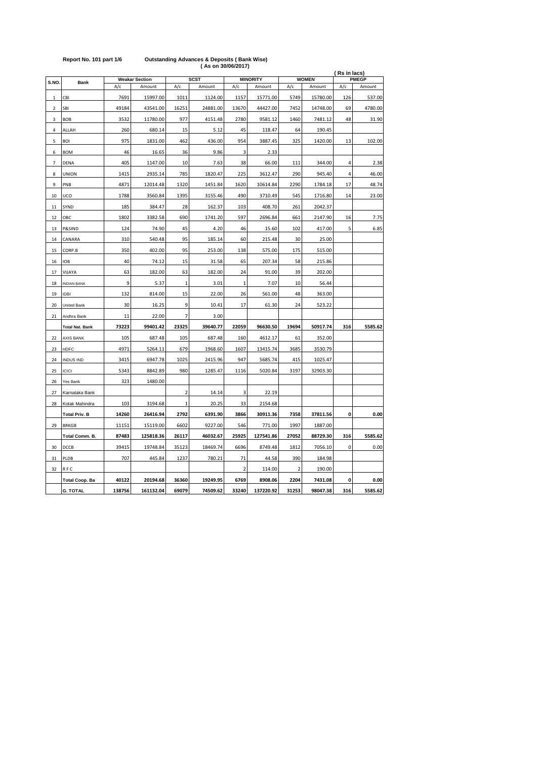|                | <b>MINORITY</b>        |        |                                 |              |                       |                |           |                |                        |     | (Rs in lacs)           |  |  |  |
|----------------|------------------------|--------|---------------------------------|--------------|-----------------------|----------------|-----------|----------------|------------------------|-----|------------------------|--|--|--|
| S.NO.          | <b>Bank</b>            | A/c    | <b>Weakar Section</b><br>Amount | A/c          | <b>SCST</b><br>Amount | A/c            | Amount    | A/c            | <b>WOMEN</b><br>Amount | A/c | <b>PMEGP</b><br>Amount |  |  |  |
| 1              | CBI                    | 7691   | 15997.00                        | 1011         | 1124.00               | 1157           | 15771.00  | 5749           | 15780.00               | 126 | 537.00                 |  |  |  |
| $\overline{2}$ | SBI                    | 49184  | 43541.00                        | 16251        | 24881.00              | 13670          | 44427.00  | 7452           | 14748.00               | 69  | 4780.00                |  |  |  |
| 3              | <b>BOB</b>             | 3532   | 11780.00                        | 977          | 4151.48               | 2780           | 9581.12   | 1460           | 7481.12                | 48  | 31.90                  |  |  |  |
| 4              | ALLAH                  | 260    | 680.14                          | 15           | 5.12                  | 45             | 118.47    | 64             | 190.45                 |     |                        |  |  |  |
| 5              | <b>BOI</b>             | 975    | 1831.00                         | 462          | 436.00                | 954            | 3887.45   | 325            | 1420.00                | 13  | 102.00                 |  |  |  |
| 6              | <b>BOM</b>             | 46     | 16.65                           | 36           | 9.86                  | 3              | 2.33      |                |                        |     |                        |  |  |  |
| 7              | <b>DENA</b>            | 405    | 1147.00                         | 10           | 7.63                  | 38             | 66.00     | 111            | 344.00                 | 4   | 2.38                   |  |  |  |
| 8              | <b>UNION</b>           | 1415   | 2935.14                         | 785          | 1820.47               | 225            | 3612.47   | 290            | 945.40                 | 4   | 46.00                  |  |  |  |
| 9              | PNB                    | 4871   | 12014.48                        | 1320         | 1451.84               | 1620           | 10614.84  | 2290           | 1784.18                | 17  | 48.74                  |  |  |  |
| 10             | UCO                    | 1788   | 3560.84                         | 1395         | 3155.46               | 490            | 3710.49   | 545            | 1716.80                | 14  | 23.00                  |  |  |  |
| 11             | SYND                   | 185    | 384.47                          | 28           | 162.37                | 103            | 408.70    | 261            | 2042.37                |     |                        |  |  |  |
| 12             | OBC                    | 1802   | 3382.58                         | 690          | 1741.20               | 597            | 2696.84   | 661            | 2147.90                | 16  | 7.75                   |  |  |  |
| 13             | P&SIND                 | 124    | 74.90                           | 45           | 4.20                  | 46             | 15.60     | 102            | 417.00                 | 5   | 6.85                   |  |  |  |
| $14\,$         | CANARA                 | 310    | 540.48                          | 95           | 185.14                | 60             | 215.48    | 30             | 25.00                  |     |                        |  |  |  |
| 15             | CORP.B                 | 350    | 402.00                          | 95           | 253.00                | 138            | 575.00    | 175            | 515.00                 |     |                        |  |  |  |
| 16             | <b>IOB</b>             | 40     | 74.12                           | 15           | 31.58                 | 65             | 207.34    | 58             | 215.86                 |     |                        |  |  |  |
| 17             | VIJAYA                 | 63     | 182.00                          | 63           | 182.00                | 24             | 91.00     | 39             | 202.00                 |     |                        |  |  |  |
| 18             | <b>INDIAN BANK</b>     | 9      | 5.37                            | $\mathbf{1}$ | 3.01                  | $\mathbf{1}$   | 7.07      | 10             | 56.44                  |     |                        |  |  |  |
| 19             | <b>IDBI</b>            | 132    | 814.00                          | 15           | 22.00                 | 26             | 561.00    | 48             | 363.00                 |     |                        |  |  |  |
| 20             | <b>United Bank</b>     | 30     | 16.25                           | 9            | 10.41                 | 17             | 61.30     | 24             | 523.22                 |     |                        |  |  |  |
| 21             | Andhra Bank            | 11     | 22.00                           | 7            | 3.00                  |                |           |                |                        |     |                        |  |  |  |
|                | <b>Total Nat. Bank</b> | 73223  | 99401.42                        | 23325        | 39640.77              | 22059          | 96630.50  | 19694          | 50917.74               | 316 | 5585.62                |  |  |  |
| 22             | <b>AXIS BANK</b>       | 105    | 687.48                          | 105          | 687.48                | 160            | 4612.17   | 61             | 352.00                 |     |                        |  |  |  |
| 23             | <b>HDFC</b>            | 4971   | 5264.11                         | 679          | 1968.60               | 1607           | 13415.74  | 3685           | 3530.79                |     |                        |  |  |  |
| 24             | <b>INDUS IND</b>       | 3415   | 6947.78                         | 1025         | 2415.96               | 947            | 5685.74   | 415            | 1025.47                |     |                        |  |  |  |
| 25             | <b>ICICI</b>           | 5343   | 8842.89                         | 980          | 1285.47               | 1116           | 5020.84   | 3197           | 32903.30               |     |                        |  |  |  |
| 26             | Yes Bank               | 323    | 1480.00                         |              |                       |                |           |                |                        |     |                        |  |  |  |
| 27             | Karnataka Bank         |        |                                 | $\mathbf 2$  | 14.14                 | 3              | 22.19     |                |                        |     |                        |  |  |  |
| 28             | Kotak Mahindra         | 103    | 3194.68                         | $\mathbf 1$  | 20.25                 | 33             | 2154.68   |                |                        |     |                        |  |  |  |
|                | <b>Total Priv. B</b>   | 14260  | 26416.94                        | 2792         | 6391.90               | 3866           | 30911.36  | 7358           | 37811.56               | 0   | 0.00                   |  |  |  |
| 29             | <b>BRKGB</b>           | 11151  | 15119.00                        | 6602         | 9227.00               | 546            | 771.00    | 1997           | 1887.00                |     |                        |  |  |  |
|                | Total Comm. B.         | 87483  | 125818.36                       | 26117        | 46032.67              | 25925          | 127541.86 | 27052          | 88729.30               | 316 | 5585.62                |  |  |  |
| 30             | DCCB                   | 39415  | 19748.84                        | 35123        | 18469.74              | 6696           | 8749.48   | 1812           | 7056.10                | 0   | 0.00                   |  |  |  |
| 31             | PLDB                   | 707    | 445.84                          | 1237         | 780.21                | 71             | 44.58     | 390            | 184.98                 |     |                        |  |  |  |
| 32             | <b>RFC</b>             |        |                                 |              |                       | $\overline{2}$ | 114.00    | $\overline{2}$ | 190.00                 |     |                        |  |  |  |
|                | <b>Total Coop. Ba</b>  | 40122  | 20194.68                        | 36360        | 19249.95              | 6769           | 8908.06   | 2204           | 7431.08                | 0   | 0.00                   |  |  |  |
|                | <b>G. TOTAL</b>        | 138756 | 161132.04                       | 69079        | 74509.62              | 33240          | 137220.92 | 31253          | 98047.38               | 316 | 5585.62                |  |  |  |

### **Report No. 101 part 1/6 Outstanding Advances & Deposits ( Bank Wise) ( As on 30/06/2017)**